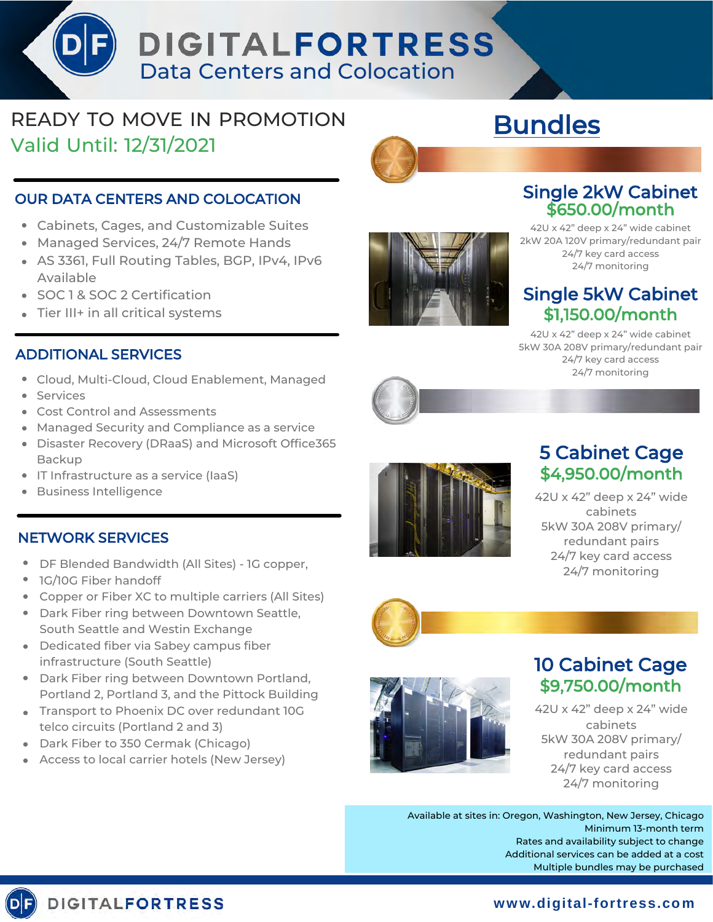# DIGITALFORTRESS Data Centers and Colocation

## READY TO MOVE IN PROMOTION Valid Until: 12/31/2021

#### OUR DATA CENTERS AND COLOCATION

- Cabinets, Cages, and Customizable Suites
- Managed Services, 24/7 Remote Hands
- AS 3361, Full Routing Tables, BGP, IPv4, IPv6 Available
- SOC 1 & SOC 2 Certification
- Tier III+ in all critical systems

#### ADDITIONAL SERVICES

- Cloud, Multi-Cloud, Cloud Enablement, Managed
- **•** Services
- Cost Control and Assessments
- Managed Security and Compliance as a service
- Disaster Recovery (DRaaS) and Microsoft Office365 Backup
- IT Infrastructure as a service (IaaS)
- Business Intelligence

#### NETWORK SERVICES

- DF Blended Bandwidth (All Sites) 1G copper,
- 1G/10G Fiber handoff
- Copper or Fiber XC to multiple carriers (All Sites)
- Dark Fiber ring between Downtown Seattle, South Seattle and Westin Exchange
- Dedicated fiber via Sabey campus fiber infrastructure (South Seattle)
- Dark Fiber ring between Downtown Portland, Portland 2, Portland 3, and the Pittock Building
- **Transport to Phoenix DC over redundant 10G** telco circuits (Portland 2 and 3)
- Dark Fiber to 350 Cermak (Chicago)
- Access to local carrier hotels (New Jersey)



#### Single 2kW Cabinet \$650.00/month

Bundles

42U x 42" deep x 24" wide cabinet 2kW 20A 120V primary/redundant pair 24/7 key card access 24/7 monitoring

#### Single 5kW Cabinet \$1,150.00/month

42U x 42" deep x 24" wide cabinet 5kW 30A 208V primary/redundant pair 24/7 key card access 24/7 monitoring



## 5 Cabinet Cage \$4,950.00/month

42U x 42" deep x 24" wide cabinets 5kW 30A 208V primary/ redundant pairs 24/7 key card access 24/7 monitoring





## 10 Cabinet Cage \$9,750.00/month

42U x 42" deep x 24" wide cabinets 5kW 30A 208V primary/ redundant pairs 24/7 key card access 24/7 monitoring

Available at sites in: Oregon, Washington, New Jersey, Chicago Minimum 13-month term Rates and availability subject to change Additional services can be added at a cost Multiple bundles may be purchased

## **DIGITALFORTRESS**

### **w ww.digital-fortress.com**